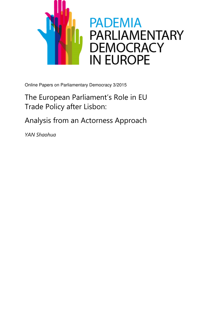

Online Papers on Parliamentary Democracy 3/2015

# The European Parliament's Role in EU Trade Policy after Lisbon:

Analysis from an Actorness Approach

YAN Shaohua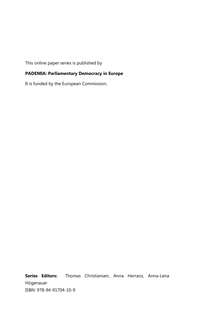This online paper series is published by

# PADEMIA: Parliamentary Democracy in Europe

It is funded by the European Commission.

Series Editors: Thomas Christiansen, Anna Herranz, Anna-Lena Högenauer ISBN: 978-94-91704-10-9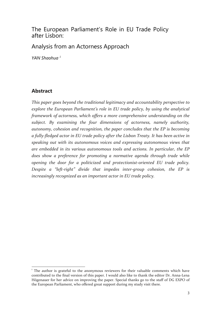# The European Parliament's Role in EU Trade Policy after Lisbon:

Analysis from an Actorness Approach

YAN Shaohua<sup>1</sup>

# Abstract

This paper goes beyond the traditional legitimacy and accountability perspective to explore the European Parliament's role in EU trade policy, by using the analytical framework of actorness, which offers a more comprehensive understanding on the subject. By examining the four dimensions of actorness, namely authority, autonomy, cohesion and recognition, the paper concludes that the EP is becoming a fully-fledged actor in EU trade policy after the Lisbon Treaty. It has been active in speaking out with its autonomous voices and expressing autonomous views that are embedded in its various autonomous tools and actions. In particular, the EP does show a preference for promoting a normative agenda through trade while opening the door for a politicized and protectionist-oriented EU trade policy. Despite a "left-right" divide that impedes inter-group cohesion, the EP is increasingly recognized as an important actor in EU trade policy.

l <sup>1</sup> The author is grateful to the anonymous reviewers for their valuable comments which have contributed to the final version of this paper. I would also like to thank the editor Dr. Anna-Lena Högenauer for her advice on improving the paper. Special thanks go to the staff of DG EXPO of the European Parliament, who offered great support during my study visit there.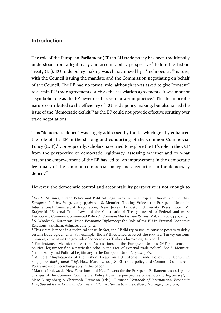# **Introduction**

The role of the European Parliament (EP) in EU trade policy has been traditionally understood from a legitimacy and accountability perspective.<sup>2</sup> Before the Lisbon Treaty (LT), EU trade policy making was characterized by a "technocratic"<sup>3</sup> nature, with the Council issuing the mandate and the Commission negotiating on behalf of the Council. The EP had no formal role, although it was asked to give "consent" to certain EU trade agreements, such as the association agreements, it was more of a symbolic role as the EP never used its veto power in practice.<sup>4</sup> This technocratic nature contributed to the efficiency of EU trade policy making, but also raised the issue of the "democratic deficit"<sup>5</sup> as the EP could not provide effective scrutiny over trade negotiations.

This "democratic deficit" was largely addressed by the LT which greatly enhanced the role of the EP in the shaping and conducting of the Common Commercial Policy (CCP).<sup>6</sup> Consequently, scholars have tried to explore the EP's role in the CCP from the perspective of democratic legitimacy, assessing whether and to what extent the empowerment of the EP has led to "an improvement in the democratic legitimacy of the common commercial policy and a reduction in the democracy deficit."<sup>7</sup>

However, the democratic control and accountability perspective is not enough to

<sup>&</sup>lt;sup>2</sup> See S. Meunier, "Trade Policy and Political Legitimacy in the European Union", Comparative European Politics, Vol.3, 2003, pp.67-90; S. Meunier, Trading Voices: the European Union in International Commercial Negotiation, New Jersey: Princeton University Press, 2005; M. Krajewski, "External Trade Law and the Constitutional Treaty: towards a Federal and more Democratic Common Commercial Policy?", Common Market Law Review, Vol. 42, 2005, pp.91-127. <sup>3</sup> S. Woolcock, European Union Economic Diplomacy: the Role of the EU in External Economic

Relations, Farnham: Ashgate, 2012, p.52.

<sup>&</sup>lt;sup>4</sup> This claim is made in a technical sense. In fact, the EP did try to use its consent powers to delay certain trade agreements. For example, the EP threatened to reject the 1995 EU-Turkey customs union agreement on the grounds of concern over Turkey's human rights record.

<sup>&</sup>lt;sup>5</sup> For instance, Meunier states that "accusations of the European Union's (EU's) absence of political legitimacy find a particular echo in the area of external trade policy". See S. Meunier,

<sup>&</sup>quot;Trade Policy and Political Legitimacy in the European Union", op.cit, p.67. 6 A. Fort, "Implications of the Lisbon Treaty on EU External Trade Policy", EU Center in Singapore, Background Brief, No.2, March 2010, p.8. EU trade policy and Common Commercial Policy are used interchangeably in this paper.

<sup>7</sup> Markus Krajewski, "New Functions and New Powers for the European Parliament: assessing the changes of the Common Commercial Policy from the perspective of democratic legitimacy", in Marc Bungenberg & Christoph Hermann (eds.), European Yearbook of International Economic Law, Special Issue: Common Commercial Policy after Lisbon, Heidelberg, Springer, 2013, p.29.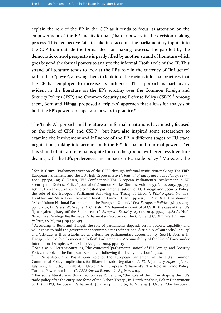$\overline{a}$ 

explain the role of the EP in the CCP as it tends to focus its attention on the empowerment of the EP and its formal ("hard") powers in the decision making process. This perspective fails to take into account the parliamentary inputs into the CCP from outside the formal decision-making process. The gap left by the democratic control perspective is partly filled by another strand of literature which goes beyond the formal powers to analyze the informal ("soft") role of the EP. This strand of literature tends to look at the EP's role in the currency of "influence" rather than "power", allowing them to look into the various informal practices that the EP has employed to increase its influence. This approach is particularly evident in the literature on the EP's scrutiny over the Common Foreign and Security Policy (CFSP) and Common Security and Defense Policy (CSDP).<sup>8</sup> Among them, Born and Hänggi proposed a "triple-A" approach that allows for analysis of both the EP's powers on paper and powers in practice.<sup>9</sup>

The 'triple-A' approach and literature on informal institutions have mostly focused on the field of CFSP and CSDP,<sup>10</sup> but have also inspired some researchers to examine the involvement and influence of the EP in different stages of EU trade negotiations, taking into account both the EP's formal and informal powers.<sup>11</sup> Yet this strand of literature remains quite thin on the ground, with even less literature dealing with the EP's preferences and impact on EU trade policy.<sup>12</sup> Moreover, the

<sup>&</sup>lt;sup>8</sup> See B. Crum, "Parliamentarization of the CFSP through informal institution-making? The Fifth European Parliament and the EU High Representative", Journal of European Public Policy, 13 (3), 2006, pp.383-401; G. Rosén, "EU Confidential: The European Parliament's Involvement in EU Security and Defense Policy", Journal of Common Market Studies, Volume 53, No. 2, 2015, pp. 383-398; A. Herranz-Surrallés, "the contested 'parliamentalisation' of EU Foreign and Security Policy: the role of the European Parliament following the Treaty of Lisbon", PRIF Report, No. 104, Frankfurt am Main: Peach Research Institute Frankfurt, 2011, pp.1-36; K. Auel & T. Christiansen, "After Lisbon: National Parliaments in the European Union", West European Politics, 38 (2), 2015, pp.261-281; D. Peters, W. Wagner & C. Glahn, "Parliamentary control of CSDP: the case of the EU's fight against piracy off the Somali coast", European Security, 23  $(4)$ , 2014, pp.430-448; A. Huff, "Executive Privilege Reaffirmed? Parliamentary Scrutiny of the CFSP and CSDP", West European Politics, 38 (2), 2015, pp.396-415.

<sup>&</sup>lt;sup>9</sup> According to Born and Hanggi, the role of parliaments depends on its powers, capability and willingness to hold the government accountable for their actions. A triple-A of 'authority', 'ability' and 'attitude' is thus established as criteria for parliamentary accountability. See H. Born & H. Hanggi, the 'Double Democratic Deficit': Parliamentary Accountability of the Use of Force under International Auspices, Aldershot: Ashgate, 2004, pp.11-15.

<sup>&</sup>lt;sup>10</sup> See also A. Herranz-Surrallés, "the contested 'parliamentalisation' of EU Foreign and Security Policy: the role of the European Parliament following the Treaty of Lisbon", op.cit.

<sup>&</sup>lt;sup>11</sup> L. Richardson, "the Post-Lisbon Role of the European Parliament in the EU's Common Commercial Policy: Implications for Bilateral Trade Negotiations", EU Diplomacy Paper 05/2012, July 2012; L. Putte, F. Ville & J. Orbie, "the European Parliament's New Role in Trade Policy: Turning Power into Impact", CEPS Special Report, No.89, May 2014.

 $12$  For some literature in this direction, see R. Bendini, "the Role of the EP in shaping the EU's trade policy after the entry into force of the Lisbon Treaty", In-Depth Analysis, Policy Department of DG EXPO, European Parliament, July 2014; L. Putte, F. Ville & J. Orbie, "the European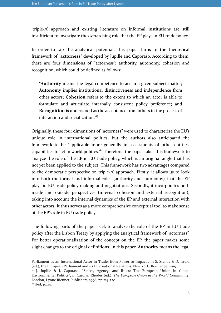'triple-A' approach and existing literature on informal institutions are still insufficient to investigate the overarching role that the EP plays in EU trade policy.

In order to tap the analytical potential, this paper turns to the theoretical framework of "actorness" developed by Jupille and Caporaso. According to them, there are four dimensions of "actorness": authority, autonomy, cohesion and recognition, which could be defined as follows:

"Authority means the legal competence to act in a given subject matter; Autonomy implies institutional distinctiveness and independence from other actors; Cohesion refers to the extent to which an actor is able to formulate and articulate internally consistent policy preference; and Recognition is understood as the acceptance from others in the process of interaction and socialization."<sup>13</sup>

Originally, these four dimensions of "actorness" were used to characterize the EU's unique role in international politics, but the authors also anticipated the framework to be "applicable more generally in assessments of other entities' capabilities to act in world politics."<sup>14</sup> Therefore, the paper takes this framework to analyze the role of the EP in EU trade policy, which is an original angle that has not yet been applied to the subject. This framework has two advantages compared to the democratic perspective or 'triple-A' approach. Firstly, it allows us to look into both the formal and informal roles (authority and autonomy) that the EP plays in EU trade policy making and negotiations. Secondly, it incorporates both inside and outside perspectives (internal cohesion and external recognition), taking into account the internal dynamics of the EP and external interaction with other actors. It thus serves as a more comprehensive conceptual tool to make sense of the EP's role in EU trade policy.

The following parts of the paper seek to analyze the role of the EP in EU trade policy after the Lisbon Treaty by applying the analytical framework of "actorness". For better operationalization of the concept on the EP, the paper makes some slight changes to the original definitions. In this paper, **Authority** means the legal

-

Parliament as an International Actor in Trade: from Power to Impact", in S. Stelios & D. Irrera (ed.), the European Parliament and its International Relations, New York: Routledge, 2015.

<sup>&</sup>lt;sup>13</sup> J. Jupille & J. Caporaso, "States, Agency, and Rules: The European Union in Global Environmental Politics", in Carolyn Rhodes (ed.), The European Union in the World Community, London, Lynne Rienner Publishers, 1998, pp.214-220.

<sup>&</sup>lt;sup>14</sup> Ibid, p.214.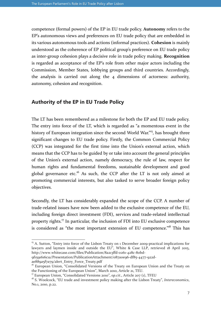competence (formal powers) of the EP in EU trade policy. Autonomy refers to the EP's autonomous views and preferences on EU trade policy that are embedded in its various autonomous tools and actions (informal practices). Cohesion is mainly understood as the coherence of EP political group's preference on EU trade policy as inter-group cohesion plays a decisive role in trade policy making. Recognition is regarded as acceptance of the EP's role from other major actors including the Commission, Member States, lobbying groups and third countries. Accordingly, the analysis is carried out along the 4 dimensions of actorness: authority, autonomy, cohesion and recognition.

### Authority of the EP in EU Trade Policy

The LT has been remembered as a milestone for both the EP and EU trade policy. The entry into force of the LT, which is regarded as "a momentous event in the history of European integration since the second World War."<sup>15</sup>, has brought three significant changes to EU trade policy. Firstly, the Common Commercial Policy (CCP) was integrated for the first time into the Union's external action, which means that the CCP has to be guided by or take into account the general principles of the Union's external action, namely democracy, the rule of law, respect for human rights and fundamental freedoms, sustainable development and good global governance etc.<sup>16</sup> As such, the CCP after the LT is not only aimed at promoting commercial interests, but also tasked to serve broader foreign policy objectives.

Secondly, the LT has considerably expanded the scope of the CCP. A number of trade-related issues have now been added to the exclusive competence of the EU, including foreign direct investment (FDI), services and trade-related intellectual property rights.<sup>17</sup> In particular, the inclusion of FDI into EU exclusive competence is considered as "the most important extension of EU competence."<sup>18</sup> This has

<sup>&</sup>lt;sup>15</sup> A. Sutton, "Entry into force of the Lisbon Treaty on 1 December 2009-practical implications for lawyers and laymen inside and outside the EU", White & Case LLP, retrieved 18 April 2015, http://www.whitecase.com/files/Publication/8a213ffd-0261-428c-80bd-

<sup>9</sup>f1591616c1a/Presentation/PublicationAttachment/087a0e96-df85-4477-922d-

ae889a5f7a79/alert\_Entry\_Force\_Treaty.pdf

<sup>&</sup>lt;sup>16</sup> European Union, "Consolidated Versions of the Treaty on European Union and the Treaty on the Functioning of the European Union", March 2010, Article 21, TEU.

 $17$  European Union, "Consolidated Versions 2010", op.cit., Article 207 (1), TFEU

 $18$  S. Woolcock, "EU trade and investment policy making after the Lisbon Treaty", Intereconomics, No.1, 2010, p.22.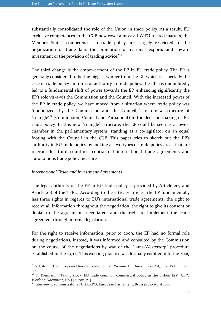substantially consolidated the role of the Union in trade policy. As a result, EU exclusive competences in the CCP now cover almost all WTO related matters, the Member States' competences in trade policy are "largely restricted to the organization of trade fairs the promotion of national exports and inward investment or the provision of trading advice."<sup>19</sup>

The third change is the empowerment of the EP in EU trade policy. The EP is generally considered to be the biggest winner from the LT, which is especially the case in trade policy. In terms of authority in trade policy, the LT has undoubtedly led to a fundamental shift of power towards the EP, enhancing significantly the EP's role vis-à-vis the Commission and the Council. With the increased power of the EP in trade policy, we have moved from a situation where trade policy was "duopolized" by the Commission and the Council,<sup>20</sup> to a new structure of "triangle"<sup>21</sup> (Commission, Council and Parliament) in the decision-making of EU trade policy. In this new "triangle" structure, the EP could be seen as a lowerchamber in the parliamentary system, standing as a co-legislator on an equal footing with the Council in the CCP. This paper tries to sketch out the EP's authority in EU trade policy by looking at two types of trade policy areas that are relevant for third countries: contractual international trade agreements and autonomous trade policy measures.

#### International Trade and Investment Agreements

 $\overline{a}$ 

The legal authority of the EP in EU trade policy is provided by Article 207 and Article 218 of the TFEU. According to these treaty articles, the EP fundamentally has three rights in regards to EU's international trade agreements: the right to receive all information throughout the negotiation; the right to give its consent or denial to the agreements negotiated; and the right to implement the trade agreement through internal legislation.

For the right to receive information, prior to 2009, the EP had no formal role during negotiations, instead, it was informed and consulted by the Commission on the course of the negotiations by way of the "Luns-Westerterp" procedure established in the 1970s. This existing practice was formally codified into the 2009

<sup>&</sup>lt;sup>19</sup> S. Gstohl, "the European Union's Trade Policy", Ritsumeikan International Affairs, Vol. 11, 2012, p.6.

 $\frac{1}{20}$  D. Kleimann, "Taking stock: EU trade common commercial policy in the Lisbon Era", CEPS Working Document, No.346, 2011, p.4.

<sup>&</sup>lt;sup>21</sup> Interview 1, administrator at DG EXPO, European Parliament, Brussels, 10 April 2015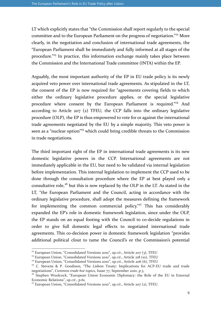LT which explicitly states that "the Commission shall report regularly to the special committee and to the European Parliament on the progress of negotiation."<sup>22</sup> More clearly, in the negotiation and conclusion of international trade agreements, the "European Parliament shall be immediately and fully informed at all stages of the procedure."<sup>23</sup> In practice, this information exchange mainly takes place between the Commission and the International Trade committee (INTA) within the EP.

Arguably, the most important authority of the EP in EU trade policy is its newly acquired veto power over international trade agreements. As stipulated in the LT, the consent of the EP is now required for "agreements covering fields to which either the ordinary legislative procedure applies, or the special legislative procedure where consent by the European Parliament is required."<sup>24</sup> And according to Article 207 (2) TFEU, the CCP falls into the ordinary legislative procedure (OLP), the EP is thus empowered to vote for or against the international trade agreements negotiated by the EU by a simple majority. This veto power is seen as a "nuclear option"<sup>25</sup> which could bring credible threats to the Commission in trade negotiations.

The third important right of the EP in international trade agreements is its new domestic legislative powers in the CCP. International agreements are not immediately applicable in the EU, but need to be validated via internal legislation before implementation. This internal legislation to implement the CCP used to be done through the consultation procedure where the EP at best played only a consultative role,<sup>26</sup> but this is now replaced by the OLP in the LT. As stated in the LT, "the European Parliament and the Council, acting in accordance with the ordinary legislative procedure, shall adopt the measures defining the framework for implementing the common commercial policy.<sup>"27</sup> This has considerably expanded the EP's role in domestic framework legislation, since under the OLP, the EP stands on an equal footing with the Council to co-decide regulations in order to give full domestic legal effects to negotiated international trade agreements. This co-decision power in domestic framework legislation "provides additional political clout to tame the Council's or the Commission's potential

<sup>&</sup>lt;sup>22</sup> European Union, "Consolidated Versions 2010", op.cit., Article 207 (3), TFEU

<sup>&</sup>lt;sup>23</sup> European Union, "Consolidated Versions 2010", op.cit., Article 218 (10), TFEU

 $24$  European Union, "Consolidated Versions 2010", op.cit., Article 206 (6), TFEU

<sup>&</sup>lt;sup>25</sup> C. Stevens & P. Goodison, "The Lisbon Treaty: Implications for ACP-EU trade and trade negotiations", Common trade hot topics, Issue 77, September 2010, p.3.

<sup>&</sup>lt;sup>26</sup> Stephen Woolcock, "European Union Economic Diplomacy: the Role of the EU in External Economic Relations", op.cit., p.61.

 $27$  European Union, "Consolidated Versions 2010", op.cit., Article 207 (2), TFEU.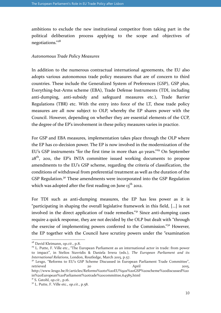ambitions to exclude the new institutional competitor from taking part in the political deliberation process applying to the scope and objectives of negotiations."<sup>28</sup>

### Autonomous Trade Policy Measures

In addition to the numerous contractual international agreements, the EU also adopts various autonomous trade policy measures that are of concern to third countries. These include the Generalized System of Preferences (GSP), GSP plus, Everything-but-Arms scheme (EBA), Trade Defense Instruments (TDI, including anti-dumping, anti-subsidy and safeguard measures etc.), Trade Barrier Regulations (TBR) etc. With the entry into force of the LT, these trade policy measures are all now subject to OLP, whereby the EP shares power with the Council. However, depending on whether they are essential elements of the CCP, the degree of the EP's involvement in these policy measures varies in practice.

For GSP and EBA measures, implementation takes place through the OLP where the EP has co-decision power. The EP is now involved in the modernization of the EU's GSP instruments "for the first time in more than 40 years."<sup>29</sup> On September  $28<sup>th</sup>$ , 2011, the EP's INTA committee issued working documents to propose amendments to the EU's GSP scheme, regarding the criteria of classification, the conditions of withdrawal from preferential treatment as well as the duration of the GSP Regulation.<sup>30</sup> These amendments were incorporated into the GSP Regulation which was adopted after the first reading on June  $13<sup>th</sup>$  2012.

For TDI such as anti-dumping measures, the EP has less power as it is "participating in shaping the overall legislative framework in this field, […] is not involved in the direct application of trade remedies."<sup>31</sup> Since anti-dumping cases require a quick response, they are not decided by the OLP but dealt with "through the exercise of implementing powers conferred to the Commission."<sup>32</sup> However, the EP together with the Council have scrutiny powers under the "examination

 $\overline{a}$ 

http://www.lexgo.be/fr/articles/Reforms%20to%20EU%92s%20GSP%20scheme%20discussed%20 in%20European%20Parliament%20trade%20committee,64585.html

 $28$  David Kleimann, op.cit., p.8.

<sup>&</sup>lt;sup>29</sup> L. Putte, F. Ville etc., "The European Parliament as an international actor in trade: from power to impact", in Stelios Stavridis & Daniela Irrera (eds.), The European Parliament and its International Relations, London, Routledge, March 2015, p.57.

<sup>&</sup>lt;sup>30</sup> Lexgo, "Reforms to EU's GSP Scheme Discussed in European Parliament Trade Committee", retrieved 20 20 April 2015,

 $31$  S. Gstohl, op.cit., p.16.

 $32$  L. Putte, F. Ville etc., op.cit., p.58.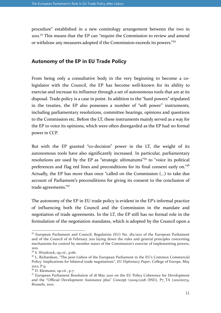procedure" established in a new comitology arrangement between the two in 2011.<sup>33</sup> This means that the EP can "require the Commission to review and amend or withdraw any measures adopted if the Commission exceeds its powers."<sup>34</sup>

### Autonomy of the EP in EU Trade Policy

From being only a consultative body in the very beginning to become a colegislator with the Council, the EP has become well-known for its ability to exercise and increase its influence through a set of autonomous tools that are at its disposal. Trade policy is a case in point. In addition to the "hard powers" stipulated in the treaties, the EP also possesses a number of "soft power" instruments, including parliamentary resolutions, committee hearings, opinions and questions to the Commission etc. Before the LT, these instruments mainly served as a way for the EP to voice its opinions, which were often disregarded as the EP had no formal power in CCP.

But with the EP granted "co-decision" power in the LT, the weight of its autonomous tools have also significantly increased. In particular, parliamentary resolutions are used by the EP as "strategic ultimatums"<sup>35</sup> to "voice its political preferences and flag red lines and preconditions for its final consent early on."36 Actually, the EP has more than once "called on the Commission (…) to take due account of Parliament's preconditions for giving its consent to the conclusion of trade agreements."37

The autonomy of the EP in EU trade policy is evident in the EP's informal practice of influencing both the Council and the Commission in the mandate and negotiation of trade agreements. In the LT, the EP still has no formal role in the formulation of the negotiation mandates, which is adopted by the Council upon a

<sup>&</sup>lt;sup>33</sup> European Parliament and Council, Regulation (EU) No. 182/2011 of the European Parliament and of the Council of 16 February 2011 laying down the rules and general principles concerning mechanisms for control by member states of the Commission's exercise of implementing powers, 2011.

<sup>&</sup>lt;sup>34</sup> S. Woolcock, op.cit., p.66.

<sup>&</sup>lt;sup>35</sup> L. Richardson, "The post-Lisbon of the European Parliament in the EU's Common Commercial Policy: Implications for bilateral trade negotiations", EU Diplomacy Paper, College of Europe, May 2012, P.9.

 $3<sup>6</sup>$  D. Kleimann, op.cit., p.7.

 $37$  European Parliament Resolution of 18 May 2010 on the EU Policy Coherence for Development and the "Official Development Assistance plus" Concept (2009/2218 (INI)), P7 TA (2010)0174, Brussels, 2010.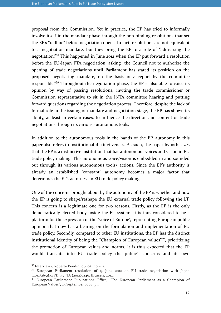proposal from the Commission. Yet in practice, the EP has tried to informally involve itself in the mandate phase through the non-binding resolutions that set the EP's "redline" before negotiation opens. In fact, resolutions are not equivalent to a negotiation mandate, but they bring the EP to a role of "addressing the negotiation."<sup>38</sup> This happened in June 2012 when the EP put forward a resolution before the EU-Japan FTA negotiation, asking "the Council not to authorize the opening of trade negotiations until Parliament has stated its position on the proposed negotiating mandate, on the basis of a report by the committee responsible."<sup>39</sup> Throughout the negotiation phase, the EP is also able to voice its opinion by way of passing resolutions, inviting the trade commissioner or Commission representative to sit in the INTA committee hearing and putting forward questions regarding the negotiation process. Therefore, despite the lack of formal role in the issuing of mandate and negotiation stage, the EP has shown its ability, at least in certain cases, to influence the direction and content of trade negotiations through its various autonomous tools.

In addition to the autonomous tools in the hands of the EP, autonomy in this paper also refers to institutional distinctiveness. As such, the paper hypothesizes that the EP is a distinctive institution that has autonomous voices and vision in EU trade policy making. This autonomous voice/vision is embedded in and sounded out through its various autonomous tools/ actions. Since the EP's authority is already an established "constant", autonomy becomes a major factor that determines the EP's actorness in EU trade policy making.

One of the concerns brought about by the autonomy of the EP is whether and how the EP is going to shape/reshape the EU external trade policy following the LT. This concern is a legitimate one for two reasons. Firstly, as the EP is the only democratically elected body inside the EU system, it is thus considered to be a platform for the expression of the "voice of Europe", representing European public opinion that now has a bearing on the formulation and implementation of EU trade policy. Secondly, compared to other EU institutions, the EP has the distinct institutional identity of being the "Champion of European values"<sup>40</sup>, prioritizing the promotion of European values and norms. It is thus expected that the EP would translate into EU trade policy the public's concerns and its own

<sup>&</sup>lt;sup>38</sup> Interview 1, Roberto Bendini op. cit. note 11.

<sup>&</sup>lt;sup>39</sup> European Parliament resolution of 13 June 2012 on EU trade negotiation with Japan  $(2012/2651(RSP))$ , P7\_TA  $(2012)0246$ , Brussels, 2012.

<sup>40</sup> European Parliament Publications Office, "The European Parliament as a Champion of European Values", 25 September 2008, p.1.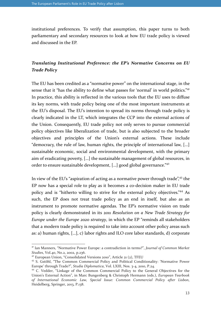institutional preferences. To verify that assumption, this paper turns to both parliamentary and secondary resources to look at how EU trade policy is viewed and discussed in the EP.

# Translating Institutional Preference: the EP's Normative Concerns on EU Trade Policy

The EU has been credited as a "normative power" on the international stage, in the sense that it "has the ability to define what passes for 'normal' in world politics."<sup>41</sup> In practice, this ability is reflected in the various tools that the EU uses to diffuse its key norms, with trade policy being one of the most important instruments at the EU's disposal. The EU's intention to spread its norms through trade policy is clearly indicated in the LT, which integrates the CCP into the external actions of the Union. Consequently, EU trade policy not only serves to pursue commercial policy objectives like liberalization of trade, but is also subjected to the broader objectives and principles of the Union's external actions. These include "democracy, the rule of law, human rights, the principle of international law, […] sustainable economic, social and environmental development, with the primary aim of eradicating poverty, […] the sustainable management of global resources, in order to ensure sustainable development, […] good global governance."<sup>42</sup>

In view of the EU's "aspiration of acting as a normative power through trade",<sup>43</sup> the EP now has a special role to play as it becomes a co-decision maker in EU trade policy and is "hitherto willing to strive for the external policy objectives."<sup>44</sup> As such, the EP does not treat trade policy as an end in itself, but also as an instrument to promote normative agendas. The EP's normative vision on trade policy is clearly demonstrated in its 2011 Resolution on a New Trade Strategy for Europe under the Europe 2020 strategy, in which the EP "reminds all stakeholders that a modern trade policy is required to take into account other policy areas such as: a) human rights, […], c) labor rights and ILO core labor standards, d) corporate

<sup>&</sup>lt;sup>41</sup> Ian Manners, "Normative Power Europe: a contradiction in terms?", Journal of Common Market Studies, Vol.40, No.2, 2002, p.236.

<sup>42</sup> European Union, "Consolidated Versions 2010", Article 21 (2), TFEU

<sup>&</sup>lt;sup>43</sup> S. Gstöhl, "The Common Commercial Policy and Political Conditionality: 'Normative Power Europe' through Trade?", Studia Diplomatica, Vol. LXIII, Nos. 3-4, 2010, P.24.

<sup>44</sup> C. Vedder, "Linkage of the Common Commercial Policy to the General Objectives for the Union's External Action", in Marc Bungenberg & Christoph Hermann (eds.), European Yearbook of International Economic Law, Special Issue: Common Commercial Policy after Lisbon, Heidelberg, Springer, 2013, P.138.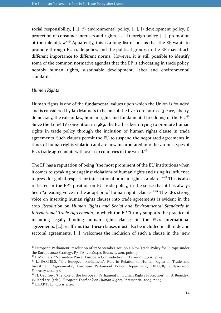social responsibility, […], f) environmental policy, […], i) development policy, j) protection of consumer interests and rights, […], l) foreign policy, […], promotion of the rule of law."<sup>45</sup> Apparently, this is a long list of norms that the EP wants to promote through EU trade policy, and the political groups in the EP may attach different importance to different norms. However, it is still possible to identify some of the common normative agendas that the EP is advocating in trade policy, notably human rights, sustainable development, labor and environmental standards.

#### Human Rights

Human rights is one of the fundamental values upon which the Union is founded and is considered by Ian Manners to be one of the five "core norms" (peace, liberty, democracy, the rule of law, human rights and fundamental freedoms) of the EU.<sup>46</sup> Since the Lomé IV convention in 1989, the EU has been trying to promote human rights in trade policy through the inclusion of human rights clause in trade agreements. Such clauses permit the EU to suspend the negotiated agreements in times of human rights violation and are now incorporated into the various types of EU's trade agreements with over 120 countries in the world.<sup>47</sup>

The EP has a reputation of being "the most prominent of the EU institutions when it comes to speaking out against violations of human rights and using its influence to press for global respect for international human rights standards."<sup>48</sup> This is also reflected in the EP's position on EU trade policy, in the sense that it has always been "a leading voice in the adoption of human rights clauses."<sup>49</sup> The EP's strong voice on inserting human rights clauses into trade agreements is evident in the 2010 Resolution on Human Rights and Social and Environmental Standards in International Trade Agreements, in which the EP "firmly supports the practice of including legally binding human rights clauses in the EU's international agreements, […], reaffirms that these clauses must also be included in all trade and sectoral agreements, […], welcomes the inclusion of such a clause in the 'new

<sup>45</sup> European Parliament, resolution of 27 September 2011 on a New Trade Policy for Europe under the Europe 2020 Strategy, P7\_TA (2011)0412, Brussels, 2011, point 5.

<sup>&</sup>lt;sup>46</sup> I. Manners, "Normative Power Europe: a Contradiction in Terms?", op,cit., p.242.

<sup>&</sup>lt;sup>47</sup> L. BARTELS, "The European Parliament's Role in Relation to Human Rights in Trade and Investment Agreements", European Parliament Policy Department, EXPO/B/DROI/2012-09, February 2014, p.6.

 $48$  H. Geoffrey,  $46$  the Role of the European Parliament in Human Rights Protection", in B. Benedek, W. Karl etc. (eds.), *European Yearbook on Human Rights*, Intersentia, 2009, p.109.

<sup>49</sup> L.BARTELS, op.cit, p.20.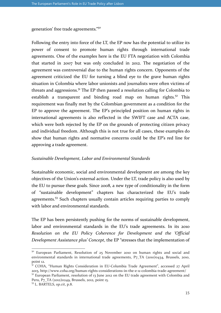generation' free trade agreements."<sup>50</sup>

Following the entry into force of the LT, the EP now has the potential to utilize its power of consent to promote human rights through international trade agreements. One of the examples here is the EU FTA negotiation with Colombia that started in 2007 but was only concluded in 2012. The negotiation of the agreement was controversial due to the human rights concern. Opponents of the agreement criticized the EU for turning a blind eye to the grave human rights situation in Colombia where labor unionists and journalists were often victims of threats and aggressions.<sup>51</sup> The EP then passed a resolution calling for Colombia to establish a transparent and binding road map on human rights.<sup>52</sup> This requirement was finally met by the Colombian government as a condition for the EP to approve the agreement. The EP's principled position on human rights in international agreements is also reflected in the SWIFT case and ACTA case, which were both rejected by the EP on the grounds of protecting citizen privacy and individual freedom. Although this is not true for all cases, these examples do show that human rights and normative concerns could be the EP's red line for approving a trade agreement.

#### Sustainable Development, Labor and Environmental Standards

Sustainable economic, social and environmental development are among the key objectives of the Union's external action. Under the LT, trade policy is also used by the EU to pursue these goals. Since 2008, a new type of conditionality in the form of "sustainable development" chapters has characterized the EU's trade agreements.<sup>53</sup> Such chapters usually contain articles requiring parties to comply with labor and environmental standards.

The EP has been persistently pushing for the norms of sustainable development, labor and environmental standards in the EU's trade agreements. In its 2010 Resolution on the EU Policy Coherence for Development and the 'Official Development Assistance plus' Concept, the EP "stresses that the implementation of

<sup>&</sup>lt;sup>50</sup> European Parliament, Resolution of 25 November 2010 on human rights and social and environmental standards in international trade agreements, P7\_TA (2010)0434, Brussels, 2010, point 12.

<sup>&</sup>lt;sup>51</sup> COHA, "Human Rights Consideration in EU-Columbia Trade Agreement", accessed 27 April 2015, http://www.coha.org/human-rights-considerations-in-the-e-u-colombia-trade-agreement/

 $52$  European Parliament, resolution of 13 June 2012 on the EU trade agreement with Colombia and Peru, P7\_TA (2012)0249, Brussels, 2012, point 15.

<sup>53</sup> L. BARTELS, op.cit, p.8.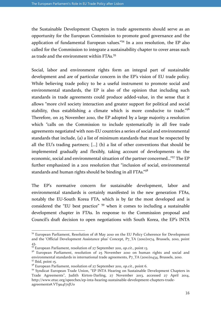the Sustainable Development Chapters in trade agreements should serve as an opportunity for the European Commission to promote good governance and the application of fundamental European values."<sup>54</sup> In a 2011 resolution, the EP also called for the Commission to integrate a sustainability chapter to cover areas such as trade and the environment within FTAs.<sup>55</sup>

Social, labor and environment rights form an integral part of sustainable development and are of particular concern in the EP's vision of EU trade policy. While believing trade policy to be a useful instrument to promote social and environmental standards, the EP is also of the opinion that including such standards in trade agreements could produce added-value, in the sense that it allows "more civil society interaction and greater support for political and social stability, thus establishing a climate which is more conducive to trade."<sup>56</sup> Therefore, on 25 November 2010, the EP adopted by a large majority a resolution which "calls on the Commission to include systematically in all free trade agreements negotiated with non-EU countries a series of social and environmental standards that include, (a) a list of minimum standards that must be respected by all the EU's trading partners; […] (b) a list of other conventions that should be implemented gradually and flexibly, taking account of developments in the economic, social and environmental situation of the partner concerned…"<sup>57</sup> The EP further emphasized in a 2011 resolution that "inclusion of social, environmental standards and human rights should be binding in all FTAs." $58$ 

The EP's normative concern for sustainable development, labor and environmental standards is certainly manifested in the new generation FTAs, notably the EU-South Korea FTA, which is by far the most developed and is considered the "EU best practice" <sup>59</sup> when it comes to including a sustainable development chapter in FTAs. In response to the Commission proposal and Council's draft decision to open negotiations with South Korea, the EP's INTA

<sup>54</sup> European Parliament, Resolution of 18 May 2010 on the EU Policy Coherence for Development and the 'Official Development Assistance plus' Concept, P7\_TA (2010)0174, Brussels, 2010, point 43.

 $^{55}$  European Parliament, resolution of 27 September 2011, op.cit., point 13.

<sup>&</sup>lt;sup>56</sup> European Parliament, resolution of 25 November 2010 on human rights and social and environmental standards in international trade agreements, P7\_TA (2010)0434, Brussels, 2010.  $57$  Ibid, point 15.

<sup>&</sup>lt;sup>58</sup> European Parliament, resolution of 27 September 2011, op.cit., point 6.

<sup>&</sup>lt;sup>59</sup> Syndicat European Trade Union, "EP INTA Hearing on Sustainable Development Chapters in Trade Agreements", Judith Kirton-Darling, 27 November 2013, accessed 27 April 2014, http://www.etuc.org/speeches/ep-inta-hearing-sustainable-development-chapters-tradeagreements#.VT9u4I7xJU0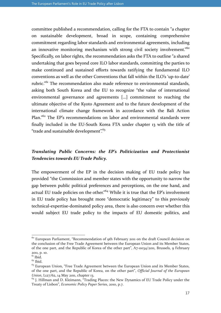committee published a recommendation, calling for the FTA to contain "a chapter on sustainable development, broad in scope, containing comprehensive commitment regarding labor standards and environmental agreements, including an innovative monitoring mechanism with strong civil society involvement."<sup>60</sup> Specifically, on labor rights, the recommendation asks the FTA to outline "a shared undertaking that goes beyond core ILO labor standards, committing the parties to make continued and sustained efforts towards ratifying the fundamental ILO conventions as well as the other Conventions that fall within the ILO's 'up-to-date' rubric."<sup>61</sup> The recommendation also made reference to environmental standards, asking both South Korea and the EU to recognize "the value of international environmental governance and agreements […] commitment to reaching the ultimate objective of the Kyoto Agreement and to the future development of the international climate change framework in accordance with the Bali Action Plan."<sup>62</sup> The EP's recommendations on labor and environmental standards were finally included in the EU-South Korea FTA under chapter 13 with the title of "trade and sustainable development". $63$ 

# Translating Public Concerns: the EP's Politicization and Protectionist Tendencies towards EU Trade Policy.

The empowerment of the EP in the decision making of EU trade policy has provided "the Commission and member states with the opportunity to narrow the gap between public political preferences and perceptions, on the one hand, and actual EU trade policies on the other."<sup>64</sup> While it is true that the EP's involvement in EU trade policy has brought more "democratic legitimacy" to this previously technical-expertise-dominated policy area, there is also concern over whether this would subject EU trade policy to the impacts of EU domestic politics, and

l

<sup>&</sup>lt;sup>60</sup> European Parliament, "Recommendation of 9th February 2011 on the draft Council decision on the conclusion of the Free Trade Agreement between the European Union and its Member States, of the one part, and the Republic of Korea of the other part", A7-0034/2011, Brussels, 9 February 2011, p. 10.

 $\overline{61}$  Ibid.

 $62$  Ibid.

 $63$  European Union, "Free Trade Agreement between the European Union and its Member States, of the one part, and the Republic of Korea, on the other part", Official Journal of the European Union, L127/62, 14 May 2011, chapter 13.

<sup>&</sup>lt;sup>64</sup> J. Hillman and D. Kleimann, "Trading Places: the New Dynamics of EU Trade Policy under the Treaty of Lisbon", Economic Policy Paper Series, 2010, p.7.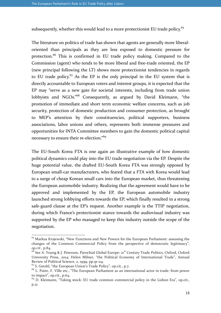subsequently, whether this would lead to a more protectionist EU trade policy.<sup>65</sup>

The literature on politics of trade has shown that agents are generally more liberaloriented than principals as they are less exposed to domestic pressure for protection.<sup>66</sup> This is confirmed in EU trade policy making. Compared to the Commission (agent) who tends to be more liberal and free-trade oriented, the EP (new principal following the LT) shows more protectionist tendencies in regards to EU trade policy.<sup>67</sup> As the EP is the only principal in the EU system that is directly accountable to European voters and interest groups, it is expected that the EP may "serve as a new gate for societal interests, including from trade union lobbyists and NGOs."<sup>68</sup> Consequently, as argued by David Kleimann, "the promotion of immediate and short term economic welfare concerns, such as job security, protection of domestic production and consumer protection, as brought to MEP's attention by their constituencies, political supporters, business associations, labor unions and others, represents both immense pressures and opportunities for INTA Committee members to gain the domestic political capital necessary to ensure their re-election."<sup>69</sup>

The EU-South Korea FTA is one again an illustrative example of how domestic political dynamics could play into the EU trade negotiation via the EP. Despite the huge potential value, the drafted EU-South Korea FTA was strongly opposed by European small-car manufacturers, who feared that a FTA with Korea would lead to a surge of cheap Korean small cars into the European market, thus threatening the European automobile industry. Realizing that the agreement would have to be approved and implemented by the EP, the European automobile industry launched strong lobbying efforts towards the EP, which finally resulted in a strong safe-guard clause at the EP's request. Another example is the TTIP negotiation, during which France's protectionist stance towards the audiovisual industry was supported by the EP who managed to keep this industry outside the scope of the negotiation.

l

 $65$  Markus Krajewski, "New Functions and New Powers for the European Parliament: assessing the changes of the Common Commercial Policy from the perspective of democratic legitimacy", op.cit., p.84.

<sup>&</sup>lt;sup>66</sup> See A. Young & J. Peterson, Parochial Global Europe: 21<sup>st</sup> Century Trade Politics, Oxford, Oxford University Press, 2014; Helen Milner, "the Political Economy of International Trade", Annual Review of Political Science, 2, 1999, pp.91-114.

<sup>&</sup>lt;sup>67</sup> S. Gstohl, "the European Union's Trade Policy", op.cit., p.7.

<sup>&</sup>lt;sup>68</sup> L. Putte, F. Ville etc., "The European Parliament as an international actor in trade: from power to impact", op.cit., p.64.

 $^{69}$  D. Kleimann, "Taking stock: EU trade common commercial policy in the Lisbon Era", op.cit., p.21.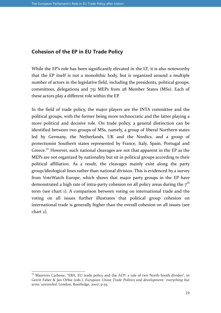### Cohesion of the EP in EU Trade Policy

While the EP's role has been significantly elevated in the LT, it is also noteworthy that the EP itself is not a monolithic body, but is organized around a multiple number of actors in the legislative field, including the presidents, political groups, committees, delegations and 751 MEPs from 28 Member States (MSs). Each of these actors play a different role within the EP.

In the field of trade policy, the major players are the INTA committee and the political groups, with the former being more technocratic and the latter playing a more political and decisive role. On trade policy, a general distinction can be identified between two groups of MSs, namely, a group of liberal Northern states led by Germany, the Netherlands, UK and the Nordics, and a group of protectionist Southern states represented by France, Italy, Spain, Portugal and Greece.<sup>70</sup> However, such national cleavages are not that apparent in the EP as the MEPs are not organized by nationality but sit in political groups according to their political affiliation. As a result, the cleavages mainly exist along the party group/ideological lines rather than national division. This is evidenced by a survey from VoteWatch Europe, which shows that major party groups in the EP have demonstrated a high rate of intra-party cohesion on all policy areas during the  $7<sup>th</sup>$ term (see chart 1). A comparison between voting on international trade and the voting on all issues further illustrates that political group cohesion on international trade is generally higher than the overall cohesion on all issues (see chart 2).

 $7^\circ$  Maurizio Carbone, "EBA, EU trade policy and the ACP: a tale of two North-South divides", in Gerrit Faber & Jan Orbie (eds.), European Union Trade Politics and development: 'everything but arms' unraveled, London, Routledge, 2007, p.55.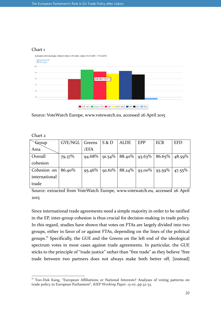### Chart 1



Source: VoteWatch Europe, www.votewatch.eu, accessed 26 April 2015

Chart 2

 $\overline{a}$ 

| Group                 | GYE/NGL   | Greens    | S & D | <b>ALDE</b>                                   | <b>EPP</b> | <b>ECR</b> | <b>EFD</b> |
|-----------------------|-----------|-----------|-------|-----------------------------------------------|------------|------------|------------|
| Area                  |           | /EFA      |       |                                               |            |            |            |
| Overall               | $79.37\%$ | $94.68\%$ |       | $91.54\%$   88.40%   93.63%   86.65%   48.59% |            |            |            |
| cohesion              |           |           |       |                                               |            |            |            |
| Cohesion on $86.90\%$ |           | 95.46%    |       | $92.61\%$   88.24\%   93.00\%                 |            | $93.59\%$  | $47.55\%$  |
| international         |           |           |       |                                               |            |            |            |
| trade                 |           |           |       |                                               |            |            |            |

Source: extracted from VoteWatch Europe, www.votewatch.eu, accessed 26 April 2015

Since international trade agreements need a simple majority in order to be ratified in the EP, inter-group cohesion is thus crucial for decision-making in trade policy. In this regard, studies have shown that votes on FTAs are largely divided into two groups, either in favor of or against FTAs, depending on the lines of the political groups.<sup>71</sup> Specifically, the GUE and the Greens on the left end of the ideological spectrum votes in most cases against trade agreements. In particular, the GUE sticks to the principle of "trade justice" rather than "free trade" as they believe "free trade between two partners does not always make both better off, [instead]

 $71$  Yoo-Duk Kang, "European Affiliations or National Interests? Analyses of voting patterns on trade policy in European Parliament", KIEP Working Paper, 13-07, pp.32-33.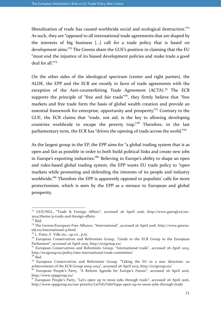liberalization of trade has caused worldwide social and ecological destruction."<sup>72</sup> As such, they are "opposed to all international trade agreements that are shaped by the interests of big business […] call for a trade policy that is based on development aims."<sup>73</sup> The Greens share the GUE's position in claiming that the EU "must end the injustice of its biased development policies and make trade a good deal for all."<sup>74</sup>

On the other sides of the ideological spectrum (center and right parties), the ALDE, the EPP and the ECR are mostly in favor of trade agreements with the exception of the Anti-counterfeiting Trade Agreement (ACTA).<sup>75</sup> The ECR supports the principle of "free and fair trade"<sup>76</sup>, they firmly believe that "free markets and free trade form the basis of global wealth creation and provide an essential framework for enterprise, opportunity and prosperity."<sup>77</sup> Contrary to the GUE, the ECR claims that "trade, not aid, is the key to allowing developing countries worldwide to escape the poverty trap."<sup>78</sup> Therefore, in the last parliamentary term, the ECR has "driven the opening of trade across the world."<sup>79</sup>

As the largest group in the EP, the EPP aims for "a global trading system that is as open and fair as possible in order to both build political links and create new jobs in Europe's exporting industries."<sup>80</sup> Believing in Europe's ability to shape an open and rules-based global trading system, the EPP wants EU trade policy to "open markets while promoting and defending the interests of its people and industry worldwide."<sup>81</sup> Therefore the EPP is apparently opposed to populists' calls for more protectionism, which is seen by the EPP as a menace to European and global prosperity.

<sup>72</sup> GUE/NGL, "Trade & Foreign Affairs", accessed 26 April 2016, http://www.guengl.eu/eu-2014/theme/9-trade-and-foreign-affairs

 $73$  Ibid.

<sup>74</sup> The Greens/European Free Alliance, "International", accessed 26 April 2016, http://www.greensefa.eu/international-9.html

<sup>75</sup> L. Putte, F. Ville etc., op.cit., p.61.

<sup>76</sup> European Conservatives and Reformists Group, "Guide to the ECR Group in the European Parliament", accessed 26 April 2015, http://ecrgroup.eu/

<sup>77</sup> European Conservatives and Reformists Group, "International trade", accessed 26 April 2015, http://ecrgroup.eu/policy/inta-international-trade-committee/  $7^8$  Ibid.

<sup>79</sup> European Conservatives and Reformists Group, "Taking the EU in a new direction: 20 achievements of the ECR Group 2009-2014", accessed 26 April 2015, http://ecrgroup.eu/

<sup>80</sup> European People's Party, "A Reform Agenda for Europe's Future", accessed 26 April 2016, http://www.eppgroup.eu/

 $81$  European People's Party, "Let's open up to more jobs through trade", accessed 26 April 2016, http://www.eppgroup.eu/our-priority/Let%E2%80%99s-open-up-to-more-jobs-through-trade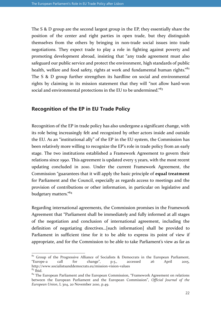The S & D group are the second largest group in the EP, they essentially share the position of the center and right parties in open trade, but they distinguish themselves from the others by bringing in non-trade social issues into trade negotiations. They expect trade to play a role in fighting against poverty and promoting development abroad, insisting that "any trade agreement must also safeguard our public service and protect the environment, high standards of public health, welfare and food safety, rights at work and fundamental human rights.<sup>"82</sup> The S & D group further strengthen its hardline on social and environmental rights by claiming in its mission statement that they will "not allow hard-won social and environmental protections in the EU to be undermined."<sup>83</sup>

### Recognition of the EP in EU Trade Policy

Recognition of the EP in trade policy has also undergone a significant change, with its role being increasingly felt and recognized by other actors inside and outside the EU. As an "institutional ally" of the EP in the EU system, the Commission has been relatively more willing to recognize the EP's role in trade policy from an early stage. The two institutions established a Framework Agreement to govern their relations since 1990. This agreement is updated every 5 years, with the most recent updating concluded in 2010. Under the current Framework Agreement, the Commission "guarantees that it will apply the basic principle of equal treatment for Parliament and the Council, especially as regards access to meetings and the provision of contributions or other information, in particular on legislative and budgetary matters."<sup>84</sup>

Regarding international agreements, the Commission promises in the Framework Agreement that "Parliament shall be immediately and fully informed at all stages of the negotiation and conclusion of international agreement, including the definition of negotiating directives…[such information] shall be provided to Parliament in sufficient time for it to be able to express its point of view if appropriate, and for the Commission to be able to take Parliament's view as far as

 $82$  Group of the Progressive Alliance of Socialists & Democrats in the European Parliament, "Europe-a call for change", p.5., accessed 26 April 2015, http://www.socialistsanddemocrats.eu/mission-vision-values  $83$  Ibid.

 $84$  The European Parliament and the European Commission, "Framework Agreement on relations between the European Parliament and the European Commission", Official Journal of the European Union, L 304, 20 November 2010, p.49.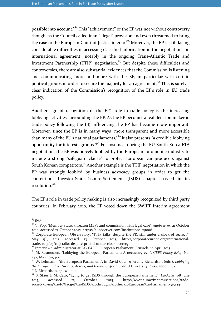possible into account."<sup>85</sup> This "achievement" of the EP was not without controversy though, as the Council called it an "illegal" provision and even threatened to bring the case to the European Court of Justice in 2010.<sup>86</sup> Moreover, the EP is still facing considerable difficulties in accessing classified information in the negotiations on international agreement, notably in the ongoing Trans-Atlantic Trade and Investment Partnership (TTIP) negotiation. $87$  But despite these difficulties and controversies, there are also substantial evidences that the Commission is listening and communicating more and more with the EP, in particular with certain political groups in order to secure the majority for an agreement.<sup>88</sup> This is surely a clear indication of the Commission's recognition of the EP's role in EU trade policy.

Another sign of recognition of the EP's role in trade policy is the increasing lobbying activities surrounding the EP. As the EP becomes a real decision maker in trade policy following the LT, influencing the EP has become more important. Moreover, since the EP is in many ways "more transparent and more accessible than many of the EU's national parliaments,<sup>89</sup> it also presents "a credible lobbying opportunity for interests groups."<sup>90</sup> For instance, during the EU-South Korea FTA negotiation, the EP was fiercely lobbied by the European automobile industry to include a strong "safeguard clause" to protect European car producers against South Korean competitors.<sup>91</sup> Another example is the TTIP negotiation in which the EP was strongly lobbied by business advocacy groups in order to get the contentious Investor-State-Dispute-Settlement (ISDS) chapter passed in its resolution.<sup>92</sup>

The EP's role in trade policy making is also increasingly recognized by third party countries. In February 2010, the EP voted down the SWIFT Interim agreement

 $85$  Ibid.

<sup>86</sup> V. Pop, "Member States threaten MEPs and commission with legal case", euobserver, 21 October 2010, accessed 23 October 2015, https://euobserver.com/institutional/31098

<sup>&</sup>lt;sup>87</sup> Corporate European Observatory, "TTIP talks: despite the PR, still under a cloak of secrecy", May  $5^{\text{th}}$ , 2015, accessed 23 October 2015, http://corporateeurope.org/internationalaccessed 23 October 2015, http://corporateeurope.org/internationaltrade/2015/05/ttip-talks-despite-pr-still-under-cloak-secrecy

<sup>88</sup> Interview 1, administrator at DG EXPO, European Parliament, Brussels, 10 April 2015

<sup>&</sup>lt;sup>89</sup> M. Rasmussen, "Lobbying the European Parliament: A necessary evil", CEPS Policy Brief, No. 242, May 2011, p.1.

<sup>&</sup>lt;sup>90</sup> W. Lehmann, "the European Parliament", in David Coen & Jeremy Richardson (eds.), Lobbying the European: Institutions, Actors, and Issues, Oxford, Oxford University Press, 2009, P.65.  $91$  L. Richardson, op.cit., p.11.

 $92$  B. Staes & M. Cato, "Lying to get ISDS through the European Parliament", EurActiv,  $\alpha$ 8 June 2015, accessed 23 October 2015, http://www.euractiv.com/sections/tradesociety/Lying%20to%20get%20ISDS%20through%20the%20European%20Parliament-315199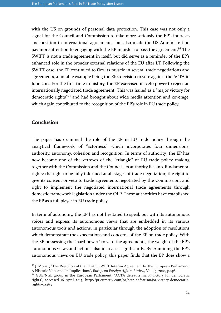with the US on grounds of personal data protection. This case was not only a signal for the Council and Commission to take more seriously the EP's interests and position in international agreements, but also made the US Administration pay more attention to engaging with the EP in order to pass the agreement.<sup>93</sup> The SWIFT is not a trade agreement in itself, but did serve as a reminder of the EP's enhanced role in the broader external relations of the EU after LT. Following the SWIFT case, the EP continued to flex its muscle in several trade negotiations and agreements, a notable example being the EP's decision to vote against the ACTA in June 2012. For the first time in history, the EP exercised its veto power to reject an internationally negotiated trade agreement. This was hailed as a "major victory for democratic rights"<sup>94</sup> and had brought about wide media attention and coverage, which again contributed to the recognition of the EP's role in EU trade policy.

### Conclusion

 $\overline{a}$ 

The paper has examined the role of the EP in EU trade policy through the analytical framework of "actorness" which incorporates four dimensions: authority, autonomy, cohesion and recognition. In terms of authority, the EP has now become one of the vertexes of the "triangle" of EU trade policy making together with the Commission and the Council. Its authority lies in 3 fundamental rights: the right to be fully informed at all stages of trade negotiation; the right to give its consent or veto to trade agreements negotiated by the Commission; and right to implement the negotiated international trade agreements through domestic framework legislation under the OLP. These authorities have established the EP as a full player in EU trade policy.

In term of autonomy, the EP has not hesitated to speak out with its autonomous voices and express its autonomous views that are embedded in its various autonomous tools and actions, in particular through the adoption of resolutions which demonstrate the expectations and concerns of the EP on trade policy. With the EP possessing the "hard power" to veto the agreements, the weight of the EP's autonomous views and actions also increases significantly. By examining the EP's autonomous views on EU trade policy, this paper finds that the EP does show a

<sup>93</sup> J. Monar, "The Rejection of the EU-US SWIFT Interim Agreement by the European Parliament: A Historic Vote and Its Implications", European Foreign Affairs Review, Vol. 15, 2010, p.146.

<sup>&</sup>lt;sup>94</sup> GUE/NGL group in the European Parliament, "ACTA defeat a major victory for democratic rights", accessed 16 April 2015, http://pr.euractiv.com/pr/acta-defeat-major-victory-democraticrights-92463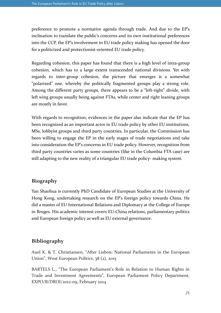preference to promote a normative agenda through trade. And due to the EP's inclination to translate the public's concerns and its own institutional preferences into the CCP, the EP's involvement in EU trade policy making has opened the door for a politicized and protectionist-oriented EU trade policy.

Regarding cohesion, this paper has found that there is a high level of intra-group cohesion, which has to a large extent transcended national divisions. Yet with regards to inter-group cohesion, the picture that emerges is a somewhat "polarized" one, whereby the politically fragmented groups play a strong role. Among the different party groups, there appears to be a "left-right" divide, with left wing groups usually being against FTAs, while center and right leaning groups are mostly in favor.

With regards to recognition, evidences in the paper also indicate that the EP has been recognized as an important actor in EU trade policy by other EU institutions, MSs, lobbyist groups and third party countries. In particular, the Commission has been willing to engage the EP in the early stages of trade negotiations and take into consideration the EP's concerns in EU trade policy. However, recognition from third party countries varies as some countries (like in the Columbia FTA case) are still adapting to the new reality of a triangular EU trade policy- making system.

# Biography

Yan Shaohua is currently PhD Candidate of European Studies at the University of Hong Kong, undertaking research on the EP's foreign policy towards China. He did a master of EU International Relations and Diplomacy at the College of Europe in Bruges. His academic interest covers EU-China relations, parliamentary politics and European foreign policy as well as EU external governance.

# Bibliography

Auel K. & T. Christiansen, "After Lisbon: National Parliaments in the European Union", West European Politics, 38 (2), 2015

BARTELS L., "The European Parliament's Role in Relation to Human Rights in Trade and Investment Agreements", European Parliament Policy Department, EXPO/B/DROI/2012-09, February 2014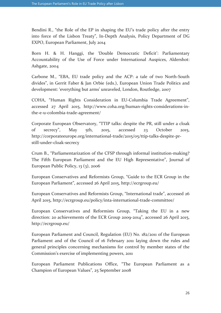Bendini R., "the Role of the EP in shaping the EU's trade policy after the entry into force of the Lisbon Treaty", In-Depth Analysis, Policy Department of DG EXPO, European Parliament, July 2014

Born H. & H. Hanggi, the 'Double Democratic Deficit': Parliamentary Accountability of the Use of Force under International Auspices, Aldershot: Ashgate, 2004

Carbone M., "EBA, EU trade policy and the ACP: a tale of two North-South divides", in Gerrit Faber & Jan Orbie (eds.), European Union Trade Politics and development: 'everything but arms' unraveled, London, Routledge, 2007

COHA, "Human Rights Consideration in EU-Columbia Trade Agreement", accessed 27 April 2015, http://www.coha.org/human-rights-considerations-inthe-e-u-colombia-trade-agreement/

Corporate European Observatory, "TTIP talks: despite the PR, still under a cloak of secrecy", May 5th, 2015, accessed 23 October 2015, http://corporateeurope.org/international-trade/2015/05/ttip-talks-despite-prstill-under-cloak-secrecy

Crum B., "Parliamentarization of the CFSP through informal institution-making? The Fifth European Parliament and the EU High Representative", Journal of European Public Policy, 13 (3), 2006

European Conservatives and Reformists Group, "Guide to the ECR Group in the European Parliament", accessed 26 April 2015, http://ecrgroup.eu/

European Conservatives and Reformists Group, "International trade", accessed 26 April 2015, http://ecrgroup.eu/policy/inta-international-trade-committee/

European Conservatives and Reformists Group, "Taking the EU in a new direction: 20 achievements of the ECR Group 2009-2014", accessed 26 April 2015, http://ecrgroup.eu/

European Parliament and Council, Regulation (EU) No. 182/2011 of the European Parliament and of the Council of 16 February 2011 laying down the rules and general principles concerning mechanisms for control by member states of the Commission's exercise of implementing powers, 2011

European Parliament Publications Office, "The European Parliament as a Champion of European Values", 25 September 2008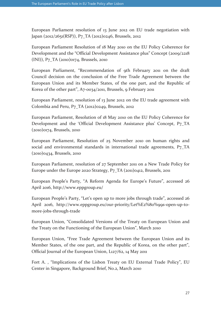European Parliament resolution of 13 June 2012 on EU trade negotiation with Japan (2012/2651(RSP)), P7\_TA (2012)0246, Brussels, 2012

European Parliament Resolution of 18 May 2010 on the EU Policy Coherence for Development and the "Official Development Assistance plus" Concept (2009/2218 (INI)), P7\_TA (2010)0174, Brussels, 2010

European Parliament, "Recommendation of 9th February 2011 on the draft Council decision on the conclusion of the Free Trade Agreement between the European Union and its Member States, of the one part, and the Republic of Korea of the other part", A7-0034/2011, Brussels, 9 February 2011

European Parliament, resolution of 13 June 2012 on the EU trade agreement with Colombia and Peru, P7\_TA (2012)0249, Brussels, 2012

European Parliament, Resolution of 18 May 2010 on the EU Policy Coherence for Development and the 'Official Development Assistance plus' Concept, P7\_TA (2010)0174, Brussels, 2010

European Parliament, Resolution of 25 November 2010 on human rights and social and environmental standards in international trade agreements, P7\_TA (2010)0434, Brussels, 2010

European Parliament, resolution of 27 September 2011 on a New Trade Policy for Europe under the Europe 2020 Strategy, P7\_TA (2011)0412, Brussels, 2011

European People's Party, "A Reform Agenda for Europe's Future", accessed 26 April 2016, http://www.eppgroup.eu/

European People's Party, "Let's open up to more jobs through trade", accessed 26 April 2016, http://www.eppgroup.eu/our-priority/Let%E2%80%99s-open-up-tomore-jobs-through-trade

European Union, "Consolidated Versions of the Treaty on European Union and the Treaty on the Functioning of the European Union", March 2010

European Union, "Free Trade Agreement between the European Union and its Member States, of the one part, and the Republic of Korea, on the other part", Official Journal of the European Union, L127/62, 14 May 2011

Fort A. , "Implications of the Lisbon Treaty on EU External Trade Policy", EU Center in Singapore, Background Brief, No.2, March 2010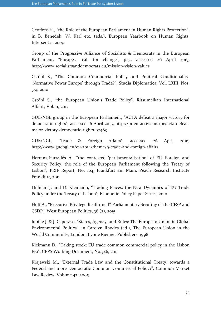Geoffrey H., "the Role of the European Parliament in Human Rights Protection", in B. Benedek, W. Karl etc. (eds.), European Yearbook on Human Rights, Intersentia, 2009

Group of the Progressive Alliance of Socialists & Democrats in the European Parliament, "Europe-a call for change", p.5., accessed 26 April 2015, http://www.socialistsanddemocrats.eu/mission-vision-values

Gstöhl S., "The Common Commercial Policy and Political Conditionality: 'Normative Power Europe' through Trade?", Studia Diplomatica, Vol. LXIII, Nos. 3-4, 2010

Gstöhl S., "the European Union's Trade Policy", Ritsumeikan International Affairs, Vol. 11, 2012

GUE/NGL group in the European Parliament, "ACTA defeat a major victory for democratic rights", accessed 16 April 2015, http://pr.euractiv.com/pr/acta-defeatmajor-victory-democratic-rights-92463

GUE/NGL, "Trade & Foreign Affairs", accessed 26 April 2016, http://www.guengl.eu/eu-2014/theme/9-trade-and-foreign-affairs

Herranz-Surrallés A., "the contested 'parliamentalisation' of EU Foreign and Security Policy: the role of the European Parliament following the Treaty of Lisbon", PRIF Report, No. 104, Frankfurt am Main: Peach Research Institute Frankfurt, 2011

Hillman J. and D. Kleimann, "Trading Places: the New Dynamics of EU Trade Policy under the Treaty of Lisbon", Economic Policy Paper Series, 2010

Huff A., "Executive Privilege Reaffirmed? Parliamentary Scrutiny of the CFSP and CSDP", West European Politics, 38 (2), 2015

Jupille J. & J. Caporaso, "States, Agency, and Rules: The European Union in Global Environmental Politics", in Carolyn Rhodes (ed.), The European Union in the World Community, London, Lynne Rienner Publishers, 1998

Kleimann D., "Taking stock: EU trade common commercial policy in the Lisbon Era", CEPS Working Document, No.346, 2011

Krajewski M., "External Trade Law and the Constitutional Treaty: towards a Federal and more Democratic Common Commercial Policy?", Common Market Law Review, Volume 42, 2005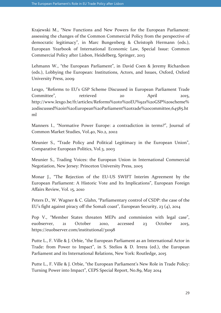Krajewski M., "New Functions and New Powers for the European Parliament: assessing the changes of the Common Commercial Policy from the perspective of democratic legitimacy", in Marc Bungenberg & Christoph Hermann (eds.), European Yearbook of International Economic Law, Special Issue: Common Commercial Policy after Lisbon, Heidelberg, Springer, 2013

Lehmann W., "the European Parliament", in David Coen & Jeremy Richardson (eds.), Lobbying the European: Institutions, Actors, and Issues, Oxford, Oxford University Press, 2009

Lexgo, "Reforms to EU's GSP Scheme Discussed in European Parliament Trade Committee", retrieved 20 April 2015, http://www.lexgo.be/fr/articles/Reforms%20to%20EU%92s%20GSP%20scheme% 20discussed%20in%20European%20Parliament%20trade%20committee,64585.ht ml

Manners I., "Normative Power Europe: a contradiction in terms?", Journal of Common Market Studies, Vol.40, No.2, 2002

Meunier S., "Trade Policy and Political Legitimacy in the European Union", Comparative European Politics, Vol.3, 2003

Meunier S., Trading Voices: the European Union in International Commercial Negotiation, New Jersey: Princeton University Press, 2005

Monar J., "The Rejection of the EU-US SWIFT Interim Agreement by the European Parliament: A Historic Vote and Its Implications", European Foreign Affairs Review, Vol. 15, 2010

Peters D., W. Wagner & C. Glahn, "Parliamentary control of CSDP: the case of the EU's fight against piracy off the Somali coast", European Security, 23 (4), 2014

Pop V., "Member States threaten MEPs and commission with legal case", euobserver, 21 October 2010, accessed 23 October 2015, https://euobserver.com/institutional/31098

Putte L., F. Ville & J. Orbie, "the European Parliament as an International Actor in Trade: from Power to Impact", in S. Stelios & D. Irrera (ed.), the European Parliament and its International Relations, New York: Routledge, 2015

Putte L., F. Ville & J. Orbie, "the European Parliament's New Role in Trade Policy: Turning Power into Impact", CEPS Special Report, No.89, May 2014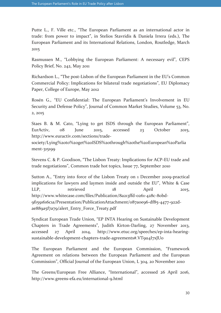Putte L., F. Ville etc., "The European Parliament as an international actor in trade: from power to impact", in Stelios Stavridis & Daniela Irrera (eds.), The European Parliament and its International Relations, London, Routledge, March 2015

Rasmussen M., "Lobbying the European Parliament: A necessary evil", CEPS Policy Brief, No. 242, May 2011

Richardson L., "The post-Lisbon of the European Parliament in the EU's Common Commercial Policy: Implications for bilateral trade negotiations", EU Diplomacy Paper, College of Europe, May 2012

Rosén G., "EU Confidential: The European Parliament's Involvement in EU Security and Defense Policy", Journal of Common Market Studies, Volume 53, No. 2, 2015

Staes B. & M. Cato, "Lying to get ISDS through the European Parliament", EurActiv, 08 June 2015, accessed 23 October 2015, http://www.euractiv.com/sections/trade-

society/Lying%20to%20get%20ISDS%20through%20the%20European%20Parlia ment-315199

Stevens C. & P. Goodison, "The Lisbon Treaty: Implications for ACP-EU trade and trade negotiations", Common trade hot topics, Issue 77, September 2010

Sutton A., "Entry into force of the Lisbon Treaty on 1 December 2009-practical implications for lawyers and laymen inside and outside the EU", White & Case LLP, retrieved 18 April 2015, http://www.whitecase.com/files/Publication/8a213ffd-0261-428c-80bd-9f1591616c1a/Presentation/PublicationAttachment/087a0e96-df85-4477-922dae889a5f7a79/alert\_Entry\_Force\_Treaty.pdf

Syndicat European Trade Union, "EP INTA Hearing on Sustainable Development Chapters in Trade Agreements", Judith Kirton-Darling, 27 November 2013, accessed 27 April 2014, http://www.etuc.org/speeches/ep-inta-hearingsustainable-development-chapters-trade-agreements#.VT9u4I7xJU0

The European Parliament and the European Commission, "Framework Agreement on relations between the European Parliament and the European Commission", Official Journal of the European Union, L 304, 20 November 2010

The Greens/European Free Alliance, "International", accessed 26 April 2016, http://www.greens-efa.eu/international-9.html